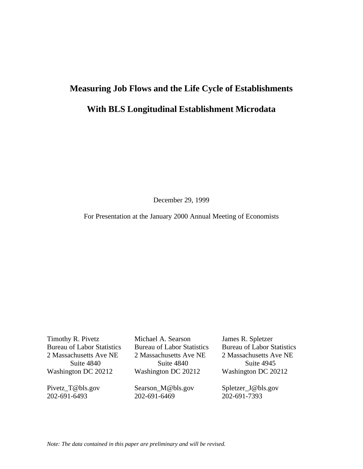# **Measuring Job Flows and the Life Cycle of Establishments**

# **With BLS Longitudinal Establishment Microdata**

December 29, 1999

For Presentation at the January 2000 Annual Meeting of Economists

Timothy R. Pivetz Michael A. Searson James R. Spletzer Bureau of Labor Statistics Bureau of Labor Statistics Bureau of Labor Statistics 2 Massachusetts Ave NE 2 Massachusetts Ave NE 2 Massachusetts Ave NE

Suite 4840 Suite 4840 Suite 4945

Pivetz\_T@bls.gov Searson\_M@bls.gov Spletzer\_J@bls.gov 202-691-6493 202-691-6469 202-691-7393

Washington DC 20212 Washington DC 20212 Washington DC 20212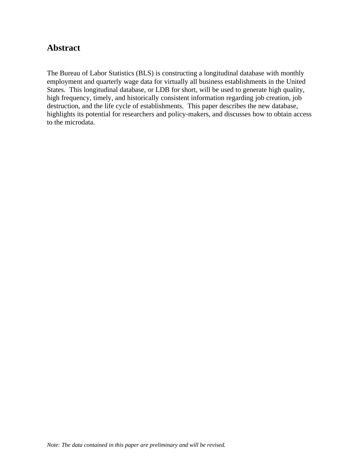# **Abstract**

The Bureau of Labor Statistics (BLS) is constructing a longitudinal database with monthly employment and quarterly wage data for virtually all business establishments in the United States. This longitudinal database, or LDB for short, will be used to generate high quality, high frequency, timely, and historically consistent information regarding job creation, job destruction, and the life cycle of establishments. This paper describes the new database, highlights its potential for researchers and policy-makers, and discusses how to obtain access to the microdata.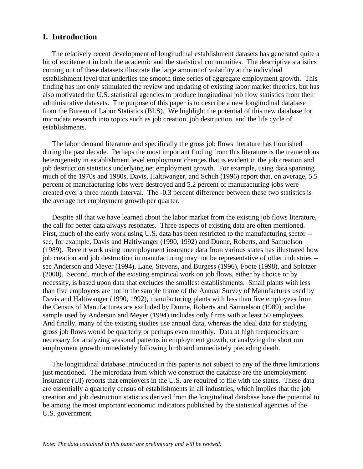## **I. Introduction**

 The relatively recent development of longitudinal establishment datasets has generated quite a bit of excitement in both the academic and the statistical communities. The descriptive statistics coming out of these datasets illustrate the large amount of volatility at the individual establishment level that underlies the smooth time series of aggregate employment growth. This finding has not only stimulated the review and updating of existing labor market theories, but has also motivated the U.S. statistical agencies to produce longitudinal job flow statistics from their administrative datasets. The purpose of this paper is to describe a new longitudinal database from the Bureau of Labor Statistics (BLS). We highlight the potential of this new database for microdata research into topics such as job creation, job destruction, and the life cycle of establishments.

 The labor demand literature and specifically the gross job flows literature has flourished during the past decade. Perhaps the most important finding from this literature is the tremendous heterogeneity in establishment level employment changes that is evident in the job creation and job destruction statistics underlying net employment growth. For example, using data spanning much of the 1970s and 1980s, Davis, Haltiwanger, and Schuh (1996) report that, on average, 5.5 percent of manufacturing jobs were destroyed and 5.2 percent of manufacturing jobs were created over a three month interval. The -0.3 percent difference between these two statistics is the average net employment growth per quarter.

 Despite all that we have learned about the labor market from the existing job flows literature, the call for better data always resonates. Three aspects of existing data are often mentioned. First, much of the early work using U.S. data has been restricted to the manufacturing sector - see, for example, Davis and Haltiwanger (1990, 1992) and Dunne, Roberts, and Samuelson (1989). Recent work using unemployment insurance data from various states has illustrated how job creation and job destruction in manufacturing may not be representative of other industries - see Anderson and Meyer (1994), Lane, Stevens, and Burgess (1996), Foote (1998), and Spletzer (2000). Second, much of the existing empirical work on job flows, either by choice or by necessity, is based upon data that excludes the smallest establishments. Small plants with less than five employees are not in the sample frame of the Annual Survey of Manufactures used by Davis and Haltiwanger (1990, 1992), manufacturing plants with less than five employees from the Census of Manufactures are excluded by Dunne, Roberts and Samuelson (1989), and the sample used by Anderson and Meyer (1994) includes only firms with at least 50 employees. And finally, many of the existing studies use annual data, whereas the ideal data for studying gross job flows would be quarterly or perhaps even monthly. Data at high frequencies are necessary for analyzing seasonal patterns in employment growth, or analyzing the short run employment growth immediately following birth and immediately preceding death.

 The longitudinal database introduced in this paper is not subject to any of the three limitations just mentioned. The microdata from which we construct the database are the unemployment insurance (UI) reports that employers in the U.S. are required to file with the states. These data are essentially a quarterly census of establishments in all industries, which implies that the job creation and job destruction statistics derived from the longitudinal database have the potential to be among the most important economic indicators published by the statistical agencies of the U.S. government.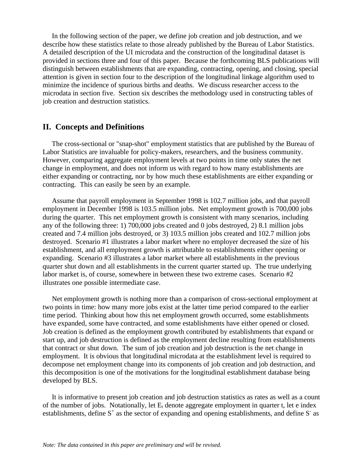In the following section of the paper, we define job creation and job destruction, and we describe how these statistics relate to those already published by the Bureau of Labor Statistics. A detailed description of the UI microdata and the construction of the longitudinal dataset is provided in sections three and four of this paper. Because the forthcoming BLS publications will distinguish between establishments that are expanding, contracting, opening, and closing, special attention is given in section four to the description of the longitudinal linkage algorithm used to minimize the incidence of spurious births and deaths. We discuss researcher access to the microdata in section five. Section six describes the methodology used in constructing tables of job creation and destruction statistics.

#### **II. Concepts and Definitions**

 The cross-sectional or "snap-shot" employment statistics that are published by the Bureau of Labor Statistics are invaluable for policy-makers, researchers, and the business community. However, comparing aggregate employment levels at two points in time only states the net change in employment, and does not inform us with regard to how many establishments are either expanding or contracting, nor by how much these establishments are either expanding or contracting. This can easily be seen by an example.

 Assume that payroll employment in September 1998 is 102.7 million jobs, and that payroll employment in December 1998 is 103.5 million jobs. Net employment growth is 700,000 jobs during the quarter. This net employment growth is consistent with many scenarios, including any of the following three: 1) 700,000 jobs created and 0 jobs destroyed, 2) 8.1 million jobs created and 7.4 million jobs destroyed, or 3) 103.5 million jobs created and 102.7 million jobs destroyed. Scenario #1 illustrates a labor market where no employer decreased the size of his establishment, and all employment growth is attributable to establishments either opening or expanding. Scenario #3 illustrates a labor market where all establishments in the previous quarter shut down and all establishments in the current quarter started up. The true underlying labor market is, of course, somewhere in between these two extreme cases. Scenario #2 illustrates one possible intermediate case.

 Net employment growth is nothing more than a comparison of cross-sectional employment at two points in time: how many more jobs exist at the latter time period compared to the earlier time period. Thinking about how this net employment growth occurred, some establishments have expanded, some have contracted, and some establishments have either opened or closed. Job creation is defined as the employment growth contributed by establishments that expand or start up, and job destruction is defined as the employment decline resulting from establishments that contract or shut down. The sum of job creation and job destruction is the net change in employment. It is obvious that longitudinal microdata at the establishment level is required to decompose net employment change into its components of job creation and job destruction, and this decomposition is one of the motivations for the longitudinal establishment database being developed by BLS.

 It is informative to present job creation and job destruction statistics as rates as well as a count of the number of jobs. Notationally, let  $E_t$  denote aggregate employment in quarter t, let e index establishments, define  $S^+$  as the sector of expanding and opening establishments, and define  $S^-$  as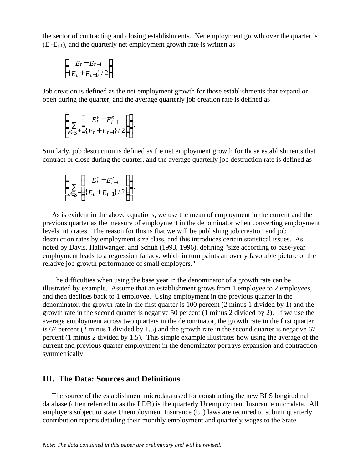the sector of contracting and closing establishments. Net employment growth over the quarter is  $(E_t-E_{t-1})$ , and the quarterly net employment growth rate is written as

$$
\left[\frac{E_t-E_{t-1}}{\{E_t+E_{t-1}\}/2}\right].
$$

Job creation is defined as the net employment growth for those establishments that expand or open during the quarter, and the average quarterly job creation rate is defined as

$$
\left[\sum_{e \in S^+} \left( \frac{E_t^e - E_{t-1}^e}{\{E_t + E_{t-1}\}^2} \right) \right]
$$

.

Similarly, job destruction is defined as the net employment growth for those establishments that contract or close during the quarter, and the average quarterly job destruction rate is defined as

$$
\left[\sum_{e \in S^{-}} \left( \frac{\left| E_t^e - E_{t-1}^e \right|}{\{E_t + E_{t-1}\}^2} \right) \right].
$$

 As is evident in the above equations, we use the mean of employment in the current and the previous quarter as the measure of employment in the denominator when converting employment levels into rates. The reason for this is that we will be publishing job creation and job destruction rates by employment size class, and this introduces certain statistical issues. As noted by Davis, Haltiwanger, and Schuh (1993, 1996), defining "size according to base-year employment leads to a regression fallacy, which in turn paints an overly favorable picture of the relative job growth performance of small employers."

 The difficulties when using the base year in the denominator of a growth rate can be illustrated by example. Assume that an establishment grows from 1 employee to 2 employees, and then declines back to 1 employee. Using employment in the previous quarter in the denominator, the growth rate in the first quarter is 100 percent (2 minus 1 divided by 1) and the growth rate in the second quarter is negative 50 percent (1 minus 2 divided by 2). If we use the average employment across two quarters in the denominator, the growth rate in the first quarter is 67 percent (2 minus 1 divided by 1.5) and the growth rate in the second quarter is negative 67 percent (1 minus 2 divided by 1.5). This simple example illustrates how using the average of the current and previous quarter employment in the denominator portrays expansion and contraction symmetrically.

## **III. The Data: Sources and Definitions**

 The source of the establishment microdata used for constructing the new BLS longitudinal database (often referred to as the LDB) is the quarterly Unemployment Insurance microdata. All employers subject to state Unemployment Insurance (UI) laws are required to submit quarterly contribution reports detailing their monthly employment and quarterly wages to the State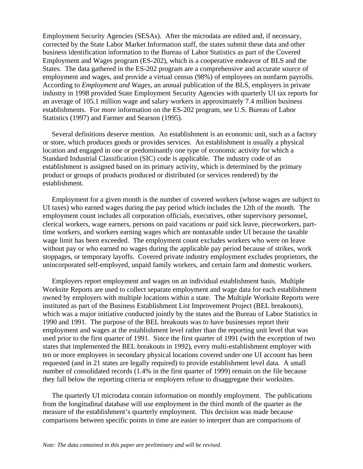Employment Security Agencies (SESAs). After the microdata are edited and, if necessary, corrected by the State Labor Market Information staff, the states submit these data and other business identification information to the Bureau of Labor Statistics as part of the Covered Employment and Wages program (ES-202), which is a cooperative endeavor of BLS and the States. The data gathered in the ES-202 program are a comprehensive and accurate source of employment and wages, and provide a virtual census (98%) of employees on nonfarm payrolls. According to *Employment and Wages*, an annual publication of the BLS, employers in private industry in 1998 provided State Employment Security Agencies with quarterly UI tax reports for an average of 105.1 million wage and salary workers in approximately 7.4 million business establishments. For more information on the ES-202 program, see U.S. Bureau of Labor Statistics (1997) and Farmer and Searson (1995).

 Several definitions deserve mention. An establishment is an economic unit, such as a factory or store, which produces goods or provides services. An establishment is usually a physical location and engaged in one or predominantly one type of economic activity for which a Standard Industrial Classification (SIC) code is applicable. The industry code of an establishment is assigned based on its primary activity, which is determined by the primary product or groups of products produced or distributed (or services rendered) by the establishment.

 Employment for a given month is the number of covered workers (whose wages are subject to UI taxes) who earned wages during the pay period which includes the 12th of the month. The employment count includes all corporation officials, executives, other supervisory personnel, clerical workers, wage earners, persons on paid vacations or paid sick leave, pieceworkers, parttime workers, and workers earning wages which are nontaxable under UI because the taxable wage limit has been exceeded. The employment count excludes workers who were on leave without pay or who earned no wages during the applicable pay period because of strikes, work stoppages, or temporary layoffs. Covered private industry employment excludes proprietors, the unincorporated self-employed, unpaid family workers, and certain farm and domestic workers.

 Employers report employment and wages on an individual establishment basis. Multiple Worksite Reports are used to collect separate employment and wage data for each establishment owned by employers with multiple locations within a state. The Multiple Worksite Reports were instituted as part of the Business Establishment List Improvement Project (BEL breakouts), which was a major initiative conducted jointly by the states and the Bureau of Labor Statistics in 1990 and 1991. The purpose of the BEL breakouts was to have businesses report their employment and wages at the establishment level rather than the reporting unit level that was used prior to the first quarter of 1991. Since the first quarter of 1991 (with the exception of two states that implemented the BEL breakouts in 1992), every multi-establishment employer with ten or more employees in secondary physical locations covered under one UI account has been requested (and in 21 states are legally required) to provide establishment level data. A small number of consolidated records (1.4% in the first quarter of 1999) remain on the file because they fall below the reporting criteria or employers refuse to disaggregate their worksites.

 The quarterly UI microdata contain information on monthly employment. The publications from the longitudinal database will use employment in the third month of the quarter as the measure of the establishment's quarterly employment. This decision was made because comparisons between specific points in time are easier to interpret than are comparisons of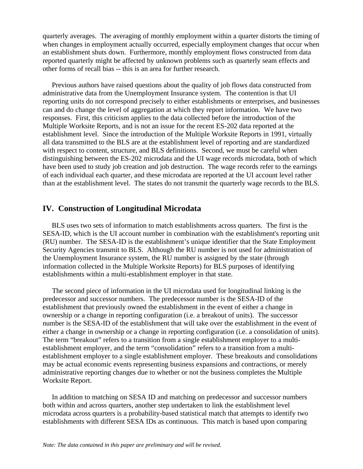quarterly averages. The averaging of monthly employment within a quarter distorts the timing of when changes in employment actually occurred, especially employment changes that occur when an establishment shuts down. Furthermore, monthly employment flows constructed from data reported quarterly might be affected by unknown problems such as quarterly seam effects and other forms of recall bias -- this is an area for further research.

 Previous authors have raised questions about the quality of job flows data constructed from administrative data from the Unemployment Insurance system. The contention is that UI reporting units do not correspond precisely to either establishments or enterprises, and businesses can and do change the level of aggregation at which they report information. We have two responses. First, this criticism applies to the data collected before the introduction of the Multiple Worksite Reports, and is not an issue for the recent ES-202 data reported at the establishment level. Since the introduction of the Multiple Worksite Reports in 1991, virtually all data transmitted to the BLS are at the establishment level of reporting and are standardized with respect to content, structure, and BLS definitions. Second, we must be careful when distinguishing between the ES-202 microdata and the UI wage records microdata, both of which have been used to study job creation and job destruction. The wage records refer to the earnings of each individual each quarter, and these microdata are reported at the UI account level rather than at the establishment level. The states do not transmit the quarterly wage records to the BLS.

## **IV. Construction of Longitudinal Microdata**

 BLS uses two sets of information to match establishments across quarters. The first is the SESA-ID, which is the UI account number in combination with the establishment's reporting unit (RU) number. The SESA-ID is the establishment's unique identifier that the State Employment Security Agencies transmit to BLS. Although the RU number is not used for administration of the Unemployment Insurance system, the RU number is assigned by the state (through information collected in the Multiple Worksite Reports) for BLS purposes of identifying establishments within a multi-establishment employer in that state.

 The second piece of information in the UI microdata used for longitudinal linking is the predecessor and successor numbers. The predecessor number is the SESA-ID of the establishment that previously owned the establishment in the event of either a change in ownership or a change in reporting configuration (i.e. a breakout of units). The successor number is the SESA-ID of the establishment that will take over the establishment in the event of either a change in ownership or a change in reporting configuration (i.e. a consolidation of units). The term "breakout" refers to a transition from a single establishment employer to a multiestablishment employer, and the term "consolidation" refers to a transition from a multiestablishment employer to a single establishment employer. These breakouts and consolidations may be actual economic events representing business expansions and contractions, or merely administrative reporting changes due to whether or not the business completes the Multiple Worksite Report.

 In addition to matching on SESA ID and matching on predecessor and successor numbers both within and across quarters, another step undertaken to link the establishment level microdata across quarters is a probability-based statistical match that attempts to identify two establishments with different SESA IDs as continuous. This match is based upon comparing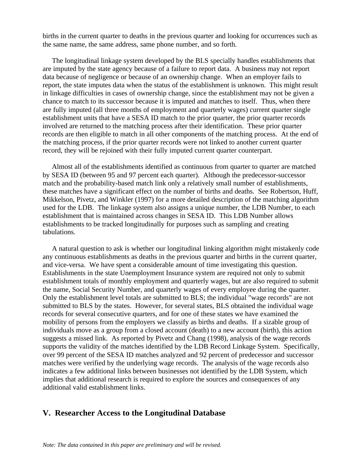births in the current quarter to deaths in the previous quarter and looking for occurrences such as the same name, the same address, same phone number, and so forth.

 The longitudinal linkage system developed by the BLS specially handles establishments that are imputed by the state agency because of a failure to report data. A business may not report data because of negligence or because of an ownership change. When an employer fails to report, the state imputes data when the status of the establishment is unknown. This might result in linkage difficulties in cases of ownership change, since the establishment may not be given a chance to match to its successor because it is imputed and matches to itself. Thus, when there are fully imputed (all three months of employment and quarterly wages) current quarter single establishment units that have a SESA ID match to the prior quarter, the prior quarter records involved are returned to the matching process after their identification. These prior quarter records are then eligible to match in all other components of the matching process. At the end of the matching process, if the prior quarter records were not linked to another current quarter record, they will be rejoined with their fully imputed current quarter counterpart.

 Almost all of the establishments identified as continuous from quarter to quarter are matched by SESA ID (between 95 and 97 percent each quarter). Although the predecessor-successor match and the probability-based match link only a relatively small number of establishments, these matches have a significant effect on the number of births and deaths. See Robertson, Huff, Mikkelson, Pivetz, and Winkler (1997) for a more detailed description of the matching algorithm used for the LDB. The linkage system also assigns a unique number, the LDB Number, to each establishment that is maintained across changes in SESA ID. This LDB Number allows establishments to be tracked longitudinally for purposes such as sampling and creating tabulations.

 A natural question to ask is whether our longitudinal linking algorithm might mistakenly code any continuous establishments as deaths in the previous quarter and births in the current quarter, and vice-versa. We have spent a considerable amount of time investigating this question. Establishments in the state Unemployment Insurance system are required not only to submit establishment totals of monthly employment and quarterly wages, but are also required to submit the name, Social Security Number, and quarterly wages of every employee during the quarter. Only the establishment level totals are submitted to BLS; the individual "wage records" are not submitted to BLS by the states. However, for several states, BLS obtained the individual wage records for several consecutive quarters, and for one of these states we have examined the mobility of persons from the employers we classify as births and deaths. If a sizable group of individuals move as a group from a closed account (death) to a new account (birth), this action suggests a missed link. As reported by Pivetz and Chang (1998), analysis of the wage records supports the validity of the matches identified by the LDB Record Linkage System. Specifically, over 99 percent of the SESA ID matches analyzed and 92 percent of predecessor and successor matches were verified by the underlying wage records. The analysis of the wage records also indicates a few additional links between businesses not identified by the LDB System, which implies that additional research is required to explore the sources and consequences of any additional valid establishment links.

## **V. Researcher Access to the Longitudinal Database**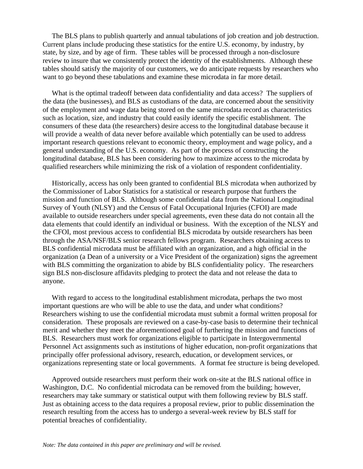The BLS plans to publish quarterly and annual tabulations of job creation and job destruction. Current plans include producing these statistics for the entire U.S. economy, by industry, by state, by size, and by age of firm. These tables will be processed through a non-disclosure review to insure that we consistently protect the identity of the establishments. Although these tables should satisfy the majority of our customers, we do anticipate requests by researchers who want to go beyond these tabulations and examine these microdata in far more detail.

 What is the optimal tradeoff between data confidentiality and data access? The suppliers of the data (the businesses), and BLS as custodians of the data, are concerned about the sensitivity of the employment and wage data being stored on the same microdata record as characteristics such as location, size, and industry that could easily identify the specific establishment. The consumers of these data (the researchers) desire access to the longitudinal database because it will provide a wealth of data never before available which potentially can be used to address important research questions relevant to economic theory, employment and wage policy, and a general understanding of the U.S. economy. As part of the process of constructing the longitudinal database, BLS has been considering how to maximize access to the microdata by qualified researchers while minimizing the risk of a violation of respondent confidentiality.

 Historically, access has only been granted to confidential BLS microdata when authorized by the Commissioner of Labor Statistics for a statistical or research purpose that furthers the mission and function of BLS. Although some confidential data from the National Longitudinal Survey of Youth (NLSY) and the Census of Fatal Occupational Injuries (CFOI) are made available to outside researchers under special agreements, even these data do not contain all the data elements that could identify an individual or business. With the exception of the NLSY and the CFOI, most previous access to confidential BLS microdata by outside researchers has been through the ASA/NSF/BLS senior research fellows program. Researchers obtaining access to BLS confidential microdata must be affiliated with an organization, and a high official in the organization (a Dean of a university or a Vice President of the organization) signs the agreement with BLS committing the organization to abide by BLS confidentiality policy. The researchers sign BLS non-disclosure affidavits pledging to protect the data and not release the data to anyone.

 With regard to access to the longitudinal establishment microdata, perhaps the two most important questions are who will be able to use the data, and under what conditions? Researchers wishing to use the confidential microdata must submit a formal written proposal for consideration. These proposals are reviewed on a case-by-case basis to determine their technical merit and whether they meet the aforementioned goal of furthering the mission and functions of BLS. Researchers must work for organizations eligible to participate in Intergovernmental Personnel Act assignments such as institutions of higher education, non-profit organizations that principally offer professional advisory, research, education, or development services, or organizations representing state or local governments. A format fee structure is being developed.

 Approved outside researchers must perform their work on-site at the BLS national office in Washington, D.C. No confidential microdata can be removed from the building; however, researchers may take summary or statistical output with them following review by BLS staff. Just as obtaining access to the data requires a proposal review, prior to public dissemination the research resulting from the access has to undergo a several-week review by BLS staff for potential breaches of confidentiality.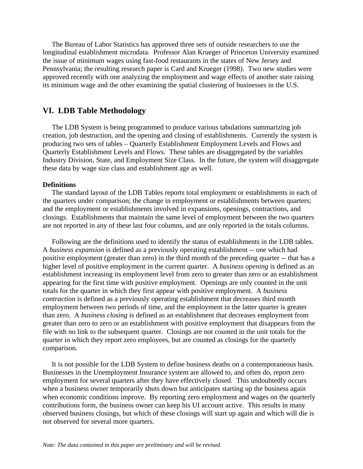The Bureau of Labor Statistics has approved three sets of outside researchers to use the longitudinal establishment microdata. Professor Alan Krueger of Princeton University examined the issue of minimum wages using fast-food restaurants in the states of New Jersey and Pennsylvania; the resulting research paper is Card and Krueger (1998). Two new studies were approved recently with one analyzing the employment and wage effects of another state raising its minimum wage and the other examining the spatial clustering of businesses in the U.S.

## **VI. LDB Table Methodology**

 The LDB System is being programmed to produce various tabulations summarizing job creation, job destruction, and the opening and closing of establishments. Currently the system is producing two sets of tables – Quarterly Establishment Employment Levels and Flows and Quarterly Establishment Levels and Flows. These tables are disaggregated by the variables Industry Division, State, and Employment Size Class. In the future, the system will disaggregate these data by wage size class and establishment age as well.

#### **Definitions**

 The standard layout of the LDB Tables reports total employment or establishments in each of the quarters under comparison; the change in employment or establishments between quarters; and the employment or establishments involved in expansions, openings, contractions, and closings. Establishments that maintain the same level of employment between the two quarters are not reported in any of these last four columns, and are only reported in the totals columns.

 Following are the definitions used to identify the status of establishments in the LDB tables. A *business expansion* is defined as a previously operating establishment -- one which had positive employment (greater than zero) in the third month of the preceding quarter -- that has a higher level of positive employment in the current quarter. A *business opening* is defined as an establishment increasing its employment level from zero to greater than zero or an establishment appearing for the first time with positive employment. Openings are only counted in the unit totals for the quarter in which they first appear with positive employment. A *business contraction* is defined as a previously operating establishment that decreases third month employment between two periods of time, and the employment in the latter quarter is greater than zero. A *business closing* is defined as an establishment that decreases employment from greater than zero to zero or an establishment with positive employment that disappears from the file with no link to the subsequent quarter. Closings are not counted in the unit totals for the quarter in which they report zero employees, but are counted as closings for the quarterly comparison.

 It is not possible for the LDB System to define business deaths on a contemporaneous basis. Businesses in the Unemployment Insurance system are allowed to, and often do, report zero employment for several quarters after they have effectively closed. This undoubtedly occurs when a business owner temporarily shuts down but anticipates starting up the business again when economic conditions improve. By reporting zero employment and wages on the quarterly contributions form, the business owner can keep his UI account active. This results in many observed business closings, but which of these closings will start up again and which will die is not observed for several more quarters.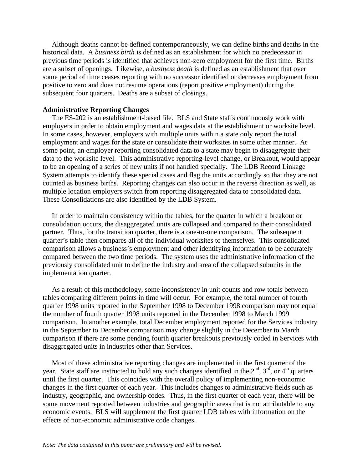Although deaths cannot be defined contemporaneously, we can define births and deaths in the historical data. A *business birth* is defined as an establishment for which no predecessor in previous time periods is identified that achieves non-zero employment for the first time. Births are a subset of openings. Likewise, a *business death* is defined as an establishment that over some period of time ceases reporting with no successor identified or decreases employment from positive to zero and does not resume operations (report positive employment) during the subsequent four quarters. Deaths are a subset of closings.

#### **Administrative Reporting Changes**

 The ES-202 is an establishment-based file. BLS and State staffs continuously work with employers in order to obtain employment and wages data at the establishment or worksite level. In some cases, however, employers with multiple units within a state only report the total employment and wages for the state or consolidate their worksites in some other manner. At some point, an employer reporting consolidated data to a state may begin to disaggregate their data to the worksite level. This administrative reporting-level change, or Breakout, would appear to be an opening of a series of new units if not handled specially. The LDB Record Linkage System attempts to identify these special cases and flag the units accordingly so that they are not counted as business births. Reporting changes can also occur in the reverse direction as well, as multiple location employers switch from reporting disaggregated data to consolidated data. These Consolidations are also identified by the LDB System.

 In order to maintain consistency within the tables, for the quarter in which a breakout or consolidation occurs, the disaggregated units are collapsed and compared to their consolidated partner. Thus, for the transition quarter, there is a one-to-one comparison. The subsequent quarter's table then compares all of the individual worksites to themselves. This consolidated comparison allows a business's employment and other identifying information to be accurately compared between the two time periods. The system uses the administrative information of the previously consolidated unit to define the industry and area of the collapsed subunits in the implementation quarter.

 As a result of this methodology, some inconsistency in unit counts and row totals between tables comparing different points in time will occur. For example, the total number of fourth quarter 1998 units reported in the September 1998 to December 1998 comparison may not equal the number of fourth quarter 1998 units reported in the December 1998 to March 1999 comparison. In another example, total December employment reported for the Services industry in the September to December comparison may change slightly in the December to March comparison if there are some pending fourth quarter breakouts previously coded in Services with disaggregated units in industries other than Services.

 Most of these administrative reporting changes are implemented in the first quarter of the year. State staff are instructed to hold any such changes identified in the  $2^{nd}$ ,  $3^{rd}$ , or  $4^{th}$  quarters until the first quarter. This coincides with the overall policy of implementing non-economic changes in the first quarter of each year. This includes changes to administrative fields such as industry, geographic, and ownership codes. Thus, in the first quarter of each year, there will be some movement reported between industries and geographic areas that is not attributable to any economic events. BLS will supplement the first quarter LDB tables with information on the effects of non-economic administrative code changes.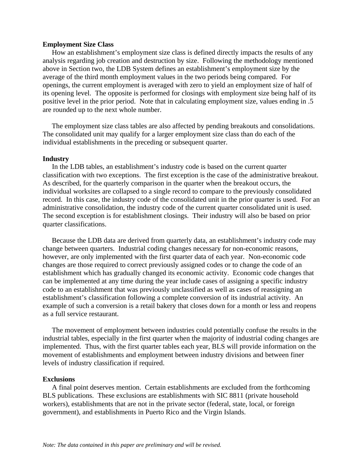#### **Employment Size Class**

 How an establishment's employment size class is defined directly impacts the results of any analysis regarding job creation and destruction by size. Following the methodology mentioned above in Section two, the LDB System defines an establishment's employment size by the average of the third month employment values in the two periods being compared. For openings, the current employment is averaged with zero to yield an employment size of half of its opening level. The opposite is performed for closings with employment size being half of its positive level in the prior period. Note that in calculating employment size, values ending in .5 are rounded up to the next whole number.

 The employment size class tables are also affected by pending breakouts and consolidations. The consolidated unit may qualify for a larger employment size class than do each of the individual establishments in the preceding or subsequent quarter.

#### **Industry**

 In the LDB tables, an establishment's industry code is based on the current quarter classification with two exceptions. The first exception is the case of the administrative breakout. As described, for the quarterly comparison in the quarter when the breakout occurs, the individual worksites are collapsed to a single record to compare to the previously consolidated record. In this case, the industry code of the consolidated unit in the prior quarter is used. For an administrative consolidation, the industry code of the current quarter consolidated unit is used. The second exception is for establishment closings. Their industry will also be based on prior quarter classifications.

 Because the LDB data are derived from quarterly data, an establishment's industry code may change between quarters. Industrial coding changes necessary for non-economic reasons, however, are only implemented with the first quarter data of each year. Non-economic code changes are those required to correct previously assigned codes or to change the code of an establishment which has gradually changed its economic activity. Economic code changes that can be implemented at any time during the year include cases of assigning a specific industry code to an establishment that was previously unclassified as well as cases of reassigning an establishment's classification following a complete conversion of its industrial activity. An example of such a conversion is a retail bakery that closes down for a month or less and reopens as a full service restaurant.

 The movement of employment between industries could potentially confuse the results in the industrial tables, especially in the first quarter when the majority of industrial coding changes are implemented. Thus, with the first quarter tables each year, BLS will provide information on the movement of establishments and employment between industry divisions and between finer levels of industry classification if required.

#### **Exclusions**

 A final point deserves mention. Certain establishments are excluded from the forthcoming BLS publications. These exclusions are establishments with SIC 8811 (private household workers), establishments that are not in the private sector (federal, state, local, or foreign government), and establishments in Puerto Rico and the Virgin Islands.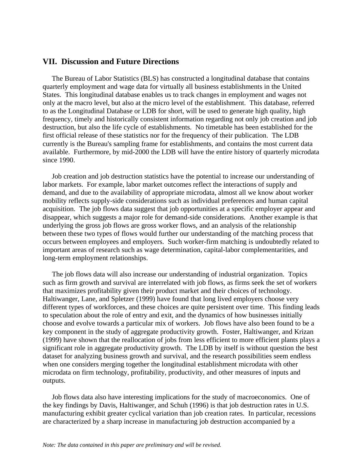## **VII. Discussion and Future Directions**

 The Bureau of Labor Statistics (BLS) has constructed a longitudinal database that contains quarterly employment and wage data for virtually all business establishments in the United States. This longitudinal database enables us to track changes in employment and wages not only at the macro level, but also at the micro level of the establishment. This database, referred to as the Longitudinal Database or LDB for short, will be used to generate high quality, high frequency, timely and historically consistent information regarding not only job creation and job destruction, but also the life cycle of establishments. No timetable has been established for the first official release of these statistics nor for the frequency of their publication. The LDB currently is the Bureau's sampling frame for establishments, and contains the most current data available. Furthermore, by mid-2000 the LDB will have the entire history of quarterly microdata since 1990.

 Job creation and job destruction statistics have the potential to increase our understanding of labor markets. For example, labor market outcomes reflect the interactions of supply and demand, and due to the availability of appropriate microdata, almost all we know about worker mobility reflects supply-side considerations such as individual preferences and human capital acquisition. The job flows data suggest that job opportunities at a specific employer appear and disappear, which suggests a major role for demand-side considerations. Another example is that underlying the gross job flows are gross worker flows, and an analysis of the relationship between these two types of flows would further our understanding of the matching process that occurs between employees and employers. Such worker-firm matching is undoubtedly related to important areas of research such as wage determination, capital-labor complementarities, and long-term employment relationships.

 The job flows data will also increase our understanding of industrial organization. Topics such as firm growth and survival are interrelated with job flows, as firms seek the set of workers that maximizes profitability given their product market and their choices of technology. Haltiwanger, Lane, and Spletzer (1999) have found that long lived employers choose very different types of workforces, and these choices are quite persistent over time. This finding leads to speculation about the role of entry and exit, and the dynamics of how businesses initially choose and evolve towards a particular mix of workers. Job flows have also been found to be a key component in the study of aggregate productivity growth. Foster, Haltiwanger, and Krizan (1999) have shown that the reallocation of jobs from less efficient to more efficient plants plays a significant role in aggregate productivity growth. The LDB by itself is without question the best dataset for analyzing business growth and survival, and the research possibilities seem endless when one considers merging together the longitudinal establishment microdata with other microdata on firm technology, profitability, productivity, and other measures of inputs and outputs.

 Job flows data also have interesting implications for the study of macroeconomics. One of the key findings by Davis, Haltiwanger, and Schuh (1996) is that job destruction rates in U.S. manufacturing exhibit greater cyclical variation than job creation rates. In particular, recessions are characterized by a sharp increase in manufacturing job destruction accompanied by a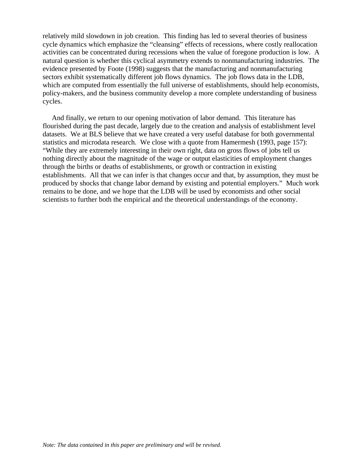relatively mild slowdown in job creation. This finding has led to several theories of business cycle dynamics which emphasize the "cleansing" effects of recessions, where costly reallocation activities can be concentrated during recessions when the value of foregone production is low. A natural question is whether this cyclical asymmetry extends to nonmanufacturing industries. The evidence presented by Foote (1998) suggests that the manufacturing and nonmanufacturing sectors exhibit systematically different job flows dynamics. The job flows data in the LDB, which are computed from essentially the full universe of establishments, should help economists, policy-makers, and the business community develop a more complete understanding of business cycles.

 And finally, we return to our opening motivation of labor demand. This literature has flourished during the past decade, largely due to the creation and analysis of establishment level datasets. We at BLS believe that we have created a very useful database for both governmental statistics and microdata research. We close with a quote from Hamermesh (1993, page 157): "While they are extremely interesting in their own right, data on gross flows of jobs tell us nothing directly about the magnitude of the wage or output elasticities of employment changes through the births or deaths of establishments, or growth or contraction in existing establishments. All that we can infer is that changes occur and that, by assumption, they must be produced by shocks that change labor demand by existing and potential employers." Much work remains to be done, and we hope that the LDB will be used by economists and other social scientists to further both the empirical and the theoretical understandings of the economy.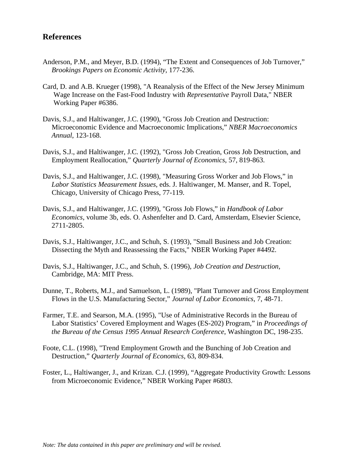## **References**

- Anderson, P.M., and Meyer, B.D. (1994), "The Extent and Consequences of Job Turnover," *Brookings Papers on Economic Activity*, 177-236.
- Card, D. and A.B. Krueger (1998), "A Reanalysis of the Effect of the New Jersey Minimum Wage Increase on the Fast-Food Industry with *Representative* Payroll Data," NBER Working Paper #6386.
- Davis, S.J., and Haltiwanger, J.C. (1990), "Gross Job Creation and Destruction: Microeconomic Evidence and Macroeconomic Implications," *NBER Macroeconomics Annual*, 123-168.
- Davis, S.J., and Haltiwanger, J.C. (1992), "Gross Job Creation, Gross Job Destruction, and Employment Reallocation," *Quarterly Journal of Economics*, 57, 819-863.
- Davis, S.J., and Haltiwanger, J.C. (1998), "Measuring Gross Worker and Job Flows," in *Labor Statistics Measurement Issues*, eds. J. Haltiwanger, M. Manser, and R. Topel, Chicago, University of Chicago Press, 77-119.
- Davis, S.J., and Haltiwanger, J.C. (1999), "Gross Job Flows," in *Handbook of Labor Economics*, volume 3b, eds. O. Ashenfelter and D. Card, Amsterdam, Elsevier Science, 2711-2805.
- Davis, S.J., Haltiwanger, J.C., and Schuh, S. (1993), "Small Business and Job Creation: Dissecting the Myth and Reassessing the Facts," NBER Working Paper #4492.
- Davis, S.J., Haltiwanger, J.C., and Schuh, S. (1996), *Job Creation and Destruction,* Cambridge, MA: MIT Press.
- Dunne, T., Roberts, M.J., and Samuelson, L. (1989), "Plant Turnover and Gross Employment Flows in the U.S. Manufacturing Sector," *Journal of Labor Economics*, 7, 48-71.
- Farmer, T.E. and Searson, M.A. (1995), "Use of Administrative Records in the Bureau of Labor Statistics' Covered Employment and Wages (ES-202) Program," in *Proceedings of the Bureau of the Census 1995 Annual Research Conference*, Washington DC, 198-235.
- Foote, C.L. (1998), "Trend Employment Growth and the Bunching of Job Creation and Destruction," *Quarterly Journal of Economics*, 63, 809-834.
- Foster, L., Haltiwanger, J., and Krizan. C.J. (1999), "Aggregate Productivity Growth: Lessons from Microeconomic Evidence," NBER Working Paper #6803.